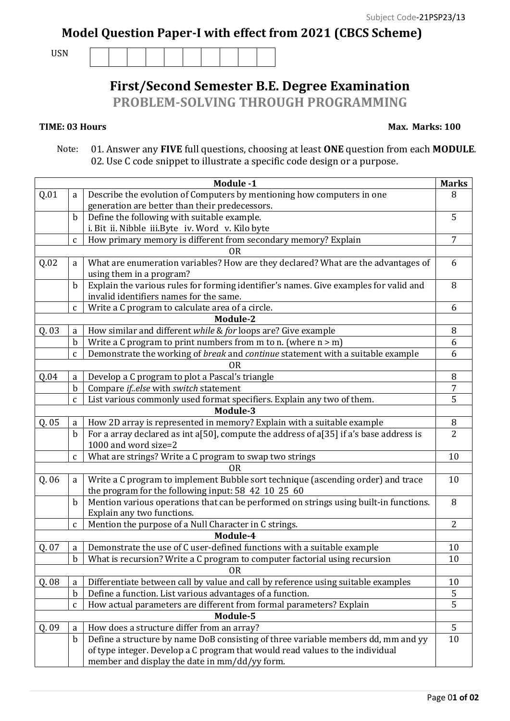## **Model Question Paper-I with effect from 2021 (CBCS Scheme)**

USN

## **First/Second Semester B.E. Degree Examination**

**PROBLEM-SOLVING THROUGH PROGRAMMING**

## **TIME: 03 Hours**

## **Max. Marks: 100**

 Note: 01. Answer any **FIVE** full questions, choosing at least **ONE** question from each **MODULE**. 02. Use C code snippet to illustrate a specific code design or a purpose.

|                | Module -1<br><b>Marks</b> |                                                                                        |                |  |  |
|----------------|---------------------------|----------------------------------------------------------------------------------------|----------------|--|--|
| Q.01           | a                         | Describe the evolution of Computers by mentioning how computers in one                 | 8              |  |  |
|                |                           | generation are better than their predecessors.                                         |                |  |  |
|                | $\mathbf b$               | Define the following with suitable example.                                            | 5              |  |  |
|                |                           | i. Bit ii. Nibble iii. Byte iv. Word v. Kilo byte                                      |                |  |  |
|                | $\mathsf C$               | How primary memory is different from secondary memory? Explain                         | 7              |  |  |
| <b>OR</b>      |                           |                                                                                        |                |  |  |
| Q.02           | a                         | What are enumeration variables? How are they declared? What are the advantages of      | 6              |  |  |
|                |                           | using them in a program?                                                               |                |  |  |
|                | $\mathbf b$               | Explain the various rules for forming identifier's names. Give examples for valid and  | 8              |  |  |
|                |                           | invalid identifiers names for the same.                                                |                |  |  |
|                | $\mathbf{C}$              | Write a C program to calculate area of a circle.                                       | 6              |  |  |
| Module-2       |                           |                                                                                        |                |  |  |
| Q.03           | a                         | How similar and different while & for loops are? Give example                          | 8              |  |  |
|                | b                         | Write a C program to print numbers from m to n. (where $n > m$ )                       | 6              |  |  |
|                | $\mathbf{C}$              | Demonstrate the working of break and continue statement with a suitable example        | 6              |  |  |
| 0 <sub>R</sub> |                           |                                                                                        |                |  |  |
| Q.04           | a                         | Develop a C program to plot a Pascal's triangle                                        | 8              |  |  |
|                | $\mathbf b$               | Compare ifelse with switch statement                                                   | 7              |  |  |
|                | C                         | List various commonly used format specifiers. Explain any two of them.                 | 5              |  |  |
| Module-3       |                           |                                                                                        |                |  |  |
| Q.05           | a                         | How 2D array is represented in memory? Explain with a suitable example                 | 8              |  |  |
|                | $\mathbf b$               | For a array declared as int a[50], compute the address of a[35] if a's base address is | $\overline{2}$ |  |  |
|                |                           | 1000 and word size=2                                                                   |                |  |  |
|                | $\mathbf{C}$              | What are strings? Write a C program to swap two strings                                | 10             |  |  |
| 0 <sub>R</sub> |                           |                                                                                        |                |  |  |
| Q.06           | a                         | Write a C program to implement Bubble sort technique (ascending order) and trace       | 10             |  |  |
|                |                           | the program for the following input: 58 42 10 25 60                                    |                |  |  |
|                | $\mathbf b$               | Mention various operations that can be performed on strings using built-in functions.  | 8              |  |  |
|                |                           | Explain any two functions.                                                             |                |  |  |
|                | $\mathbf{C}$              | Mention the purpose of a Null Character in C strings.                                  | $\overline{2}$ |  |  |
|                |                           | Module-4                                                                               |                |  |  |
| Q. 07          | a                         | Demonstrate the use of C user-defined functions with a suitable example                | 10             |  |  |
|                | $\mathbf{b}$              | What is recursion? Write a C program to computer factorial using recursion             | 10             |  |  |
|                |                           | <b>OR</b>                                                                              |                |  |  |
| Q. 08          | a                         | Differentiate between call by value and call by reference using suitable examples      | 10             |  |  |
|                | b                         | Define a function. List various advantages of a function.                              | 5              |  |  |
|                | $\mathbf{C}$              | How actual parameters are different from formal parameters? Explain                    | 5              |  |  |
| Module-5       |                           |                                                                                        |                |  |  |
| Q. 09          | a                         | How does a structure differ from an array?                                             | 5              |  |  |
|                | $\mathbf b$               | Define a structure by name DoB consisting of three variable members dd, mm and yy      | 10             |  |  |
|                |                           | of type integer. Develop a C program that would read values to the individual          |                |  |  |
|                |                           | member and display the date in mm/dd/yy form.                                          |                |  |  |